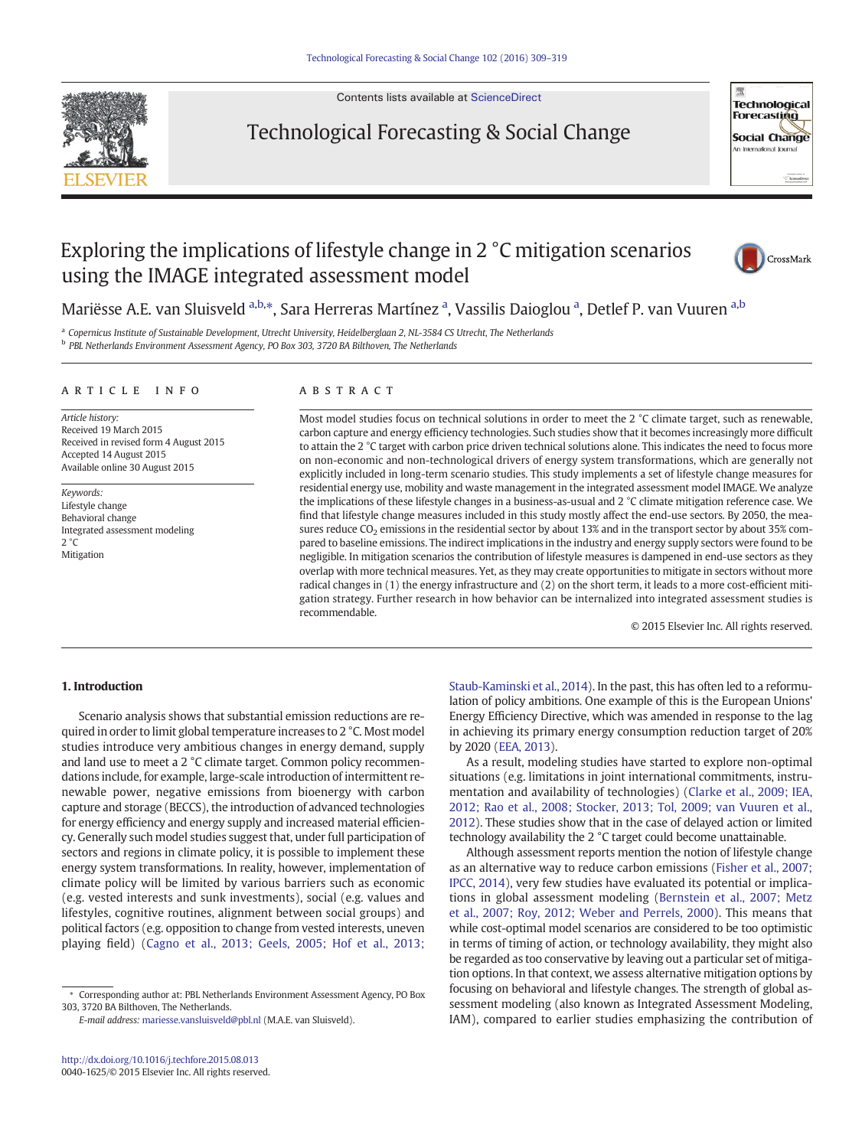Contents lists available at [ScienceDirect](http://www.sciencedirect.com/science/journal/00401625)



Technological Forecasting & Social Change



# Exploring the implications of lifestyle change in 2 °C mitigation scenarios using the IMAGE integrated assessment model



Mariësse A.E. van Sluisveld <sup>a,b,</sup>\*, Sara Herreras Martínez <sup>a</sup>, Vassilis Daioglou <sup>a</sup>, Detlef P. van Vuuren <sup>a,b</sup>

a Copernicus Institute of Sustainable Development, Utrecht University, Heidelberglaan 2, NL-3584 CS Utrecht, The Netherlands b PBL Netherlands Environment Assessment Agency, PO Box 303, 3720 BA Bilthoven, The Netherlands

#### article info abstract

Article history: Received 19 March 2015 Received in revised form 4 August 2015 Accepted 14 August 2015 Available online 30 August 2015

Keywords: Lifestyle change Behavioral change Integrated assessment modeling  $2^{\circ}C$ Mitigation

Most model studies focus on technical solutions in order to meet the 2 °C climate target, such as renewable, carbon capture and energy efficiency technologies. Such studies show that it becomes increasingly more difficult to attain the 2 °C target with carbon price driven technical solutions alone. This indicates the need to focus more on non-economic and non-technological drivers of energy system transformations, which are generally not explicitly included in long-term scenario studies. This study implements a set of lifestyle change measures for residential energy use, mobility and waste management in the integrated assessment model IMAGE. We analyze the implications of these lifestyle changes in a business-as-usual and 2 °C climate mitigation reference case. We find that lifestyle change measures included in this study mostly affect the end-use sectors. By 2050, the measures reduce CO<sub>2</sub> emissions in the residential sector by about 13% and in the transport sector by about 35% compared to baseline emissions. The indirect implications in the industry and energy supply sectors were found to be negligible. In mitigation scenarios the contribution of lifestyle measures is dampened in end-use sectors as they overlap with more technical measures. Yet, as they may create opportunities to mitigate in sectors without more radical changes in (1) the energy infrastructure and (2) on the short term, it leads to a more cost-efficient mitigation strategy. Further research in how behavior can be internalized into integrated assessment studies is recommendable.

© 2015 Elsevier Inc. All rights reserved.

# 1. Introduction

Scenario analysis shows that substantial emission reductions are required in order to limit global temperature increases to 2 °C. Most model studies introduce very ambitious changes in energy demand, supply and land use to meet a 2 °C climate target. Common policy recommendations include, for example, large-scale introduction of intermittent renewable power, negative emissions from bioenergy with carbon capture and storage (BECCS), the introduction of advanced technologies for energy efficiency and energy supply and increased material efficiency. Generally such model studies suggest that, under full participation of sectors and regions in climate policy, it is possible to implement these energy system transformations. In reality, however, implementation of climate policy will be limited by various barriers such as economic (e.g. vested interests and sunk investments), social (e.g. values and lifestyles, cognitive routines, alignment between social groups) and political factors (e.g. opposition to change from vested interests, uneven playing field) [\(Cagno et al., 2013; Geels, 2005; Hof et al., 2013;](#page-9-0)

E-mail address: [mariesse.vansluisveld@pbl.nl](mailto:mariesse.vansluisveld@pbl.nl) (M.A.E. van Sluisveld).

[Staub-Kaminski et al., 2014](#page-9-0)). In the past, this has often led to a reformulation of policy ambitions. One example of this is the European Unions' Energy Efficiency Directive, which was amended in response to the lag in achieving its primary energy consumption reduction target of 20% by 2020 ([EEA, 2013](#page-9-0)).

As a result, modeling studies have started to explore non-optimal situations (e.g. limitations in joint international commitments, instrumentation and availability of technologies) ([Clarke et al., 2009; IEA,](#page-9-0) [2012; Rao et al., 2008; Stocker, 2013; Tol, 2009; van Vuuren et al.,](#page-9-0) [2012](#page-9-0)). These studies show that in the case of delayed action or limited technology availability the 2 °C target could become unattainable.

Although assessment reports mention the notion of lifestyle change as an alternative way to reduce carbon emissions [\(Fisher et al., 2007;](#page-9-0) [IPCC, 2014](#page-9-0)), very few studies have evaluated its potential or implications in global assessment modeling ([Bernstein et al., 2007; Metz](#page-9-0) [et al., 2007; Roy, 2012; Weber and Perrels, 2000](#page-9-0)). This means that while cost-optimal model scenarios are considered to be too optimistic in terms of timing of action, or technology availability, they might also be regarded as too conservative by leaving out a particular set of mitigation options. In that context, we assess alternative mitigation options by focusing on behavioral and lifestyle changes. The strength of global assessment modeling (also known as Integrated Assessment Modeling, IAM), compared to earlier studies emphasizing the contribution of

<sup>⁎</sup> Corresponding author at: PBL Netherlands Environment Assessment Agency, PO Box 303, 3720 BA Bilthoven, The Netherlands.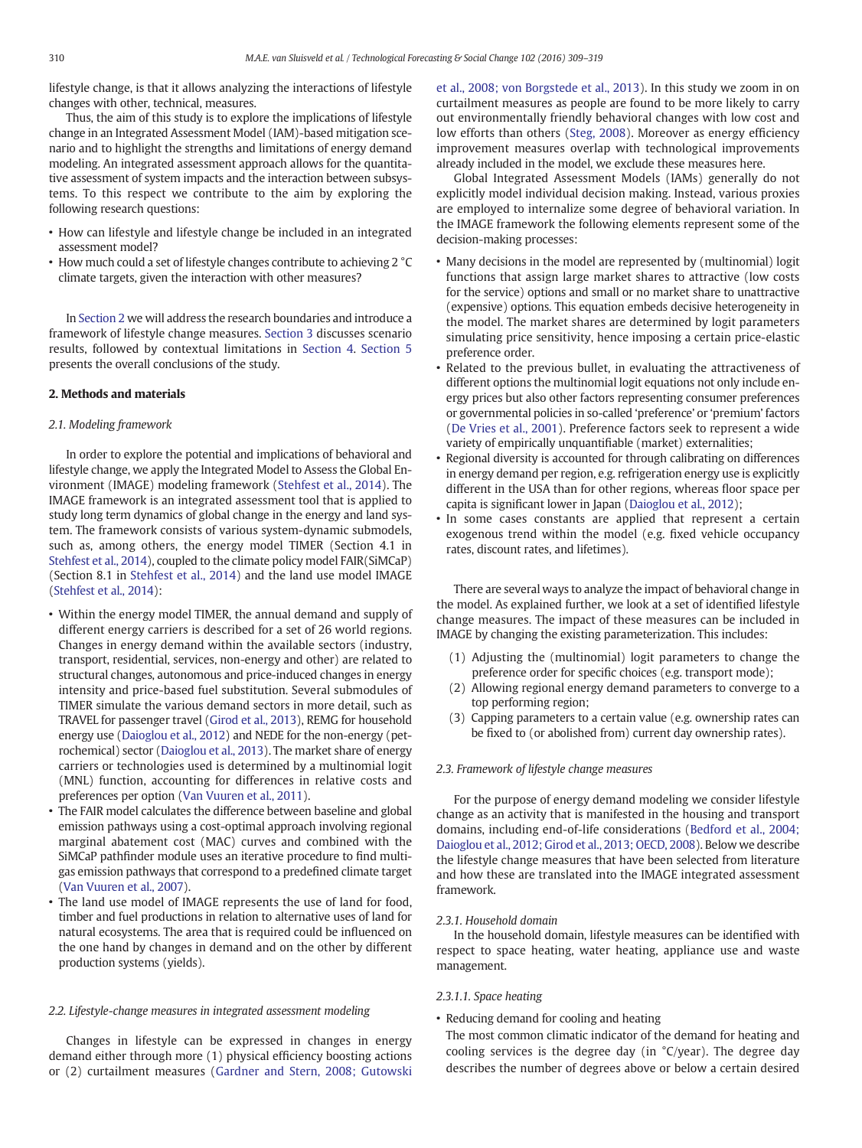lifestyle change, is that it allows analyzing the interactions of lifestyle changes with other, technical, measures.

Thus, the aim of this study is to explore the implications of lifestyle change in an Integrated Assessment Model (IAM)-based mitigation scenario and to highlight the strengths and limitations of energy demand modeling. An integrated assessment approach allows for the quantitative assessment of system impacts and the interaction between subsystems. To this respect we contribute to the aim by exploring the following research questions:

- How can lifestyle and lifestyle change be included in an integrated assessment model?
- How much could a set of lifestyle changes contribute to achieving 2 °C climate targets, given the interaction with other measures?

In Section 2 we will address the research boundaries and introduce a framework of lifestyle change measures. [Section 3](#page-4-0) discusses scenario results, followed by contextual limitations in [Section 4](#page-6-0). [Section 5](#page-8-0) presents the overall conclusions of the study.

# 2. Methods and materials

#### 2.1. Modeling framework

In order to explore the potential and implications of behavioral and lifestyle change, we apply the Integrated Model to Assess the Global Environment (IMAGE) modeling framework [\(Stehfest et al., 2014\)](#page-10-0). The IMAGE framework is an integrated assessment tool that is applied to study long term dynamics of global change in the energy and land system. The framework consists of various system-dynamic submodels, such as, among others, the energy model TIMER (Section 4.1 in [Stehfest et al., 2014](#page-10-0)), coupled to the climate policy model FAIR(SiMCaP) (Section 8.1 in [Stehfest et al., 2014](#page-10-0)) and the land use model IMAGE [\(Stehfest et al., 2014](#page-10-0)):

- Within the energy model TIMER, the annual demand and supply of different energy carriers is described for a set of 26 world regions. Changes in energy demand within the available sectors (industry, transport, residential, services, non-energy and other) are related to structural changes, autonomous and price-induced changes in energy intensity and price-based fuel substitution. Several submodules of TIMER simulate the various demand sectors in more detail, such as TRAVEL for passenger travel [\(Girod et al., 2013\)](#page-9-0), REMG for household energy use [\(Daioglou et al., 2012\)](#page-9-0) and NEDE for the non-energy (petrochemical) sector [\(Daioglou et al., 2013](#page-9-0)). The market share of energy carriers or technologies used is determined by a multinomial logit (MNL) function, accounting for differences in relative costs and preferences per option [\(Van Vuuren et al., 2011](#page-10-0)).
- The FAIR model calculates the difference between baseline and global emission pathways using a cost-optimal approach involving regional marginal abatement cost (MAC) curves and combined with the SiMCaP pathfinder module uses an iterative procedure to find multigas emission pathways that correspond to a predefined climate target ([Van Vuuren et al., 2007\)](#page-10-0).
- The land use model of IMAGE represents the use of land for food, timber and fuel productions in relation to alternative uses of land for natural ecosystems. The area that is required could be influenced on the one hand by changes in demand and on the other by different production systems (yields).

# 2.2. Lifestyle-change measures in integrated assessment modeling

Changes in lifestyle can be expressed in changes in energy demand either through more (1) physical efficiency boosting actions or (2) curtailment measures [\(Gardner and Stern, 2008; Gutowski](#page-9-0) [et al., 2008; von Borgstede et al., 2013](#page-9-0)). In this study we zoom in on curtailment measures as people are found to be more likely to carry out environmentally friendly behavioral changes with low cost and low efforts than others ([Steg, 2008\)](#page-10-0). Moreover as energy efficiency improvement measures overlap with technological improvements already included in the model, we exclude these measures here.

Global Integrated Assessment Models (IAMs) generally do not explicitly model individual decision making. Instead, various proxies are employed to internalize some degree of behavioral variation. In the IMAGE framework the following elements represent some of the decision-making processes:

- Many decisions in the model are represented by (multinomial) logit functions that assign large market shares to attractive (low costs for the service) options and small or no market share to unattractive (expensive) options. This equation embeds decisive heterogeneity in the model. The market shares are determined by logit parameters simulating price sensitivity, hence imposing a certain price-elastic preference order.
- Related to the previous bullet, in evaluating the attractiveness of different options the multinomial logit equations not only include energy prices but also other factors representing consumer preferences or governmental policies in so-called 'preference' or 'premium' factors [\(De Vries et al., 2001\)](#page-9-0). Preference factors seek to represent a wide variety of empirically unquantifiable (market) externalities;
- Regional diversity is accounted for through calibrating on differences in energy demand per region, e.g. refrigeration energy use is explicitly different in the USA than for other regions, whereas floor space per capita is significant lower in Japan [\(Daioglou et al., 2012](#page-9-0));
- In some cases constants are applied that represent a certain exogenous trend within the model (e.g. fixed vehicle occupancy rates, discount rates, and lifetimes).

There are several ways to analyze the impact of behavioral change in the model. As explained further, we look at a set of identified lifestyle change measures. The impact of these measures can be included in IMAGE by changing the existing parameterization. This includes:

- (1) Adjusting the (multinomial) logit parameters to change the preference order for specific choices (e.g. transport mode);
- (2) Allowing regional energy demand parameters to converge to a top performing region;
- (3) Capping parameters to a certain value (e.g. ownership rates can be fixed to (or abolished from) current day ownership rates).

# 2.3. Framework of lifestyle change measures

For the purpose of energy demand modeling we consider lifestyle change as an activity that is manifested in the housing and transport domains, including end-of-life considerations [\(Bedford et al., 2004;](#page-9-0) [Daioglou et al., 2012; Girod et al., 2013; OECD, 2008\)](#page-9-0). Below we describe the lifestyle change measures that have been selected from literature and how these are translated into the IMAGE integrated assessment framework.

#### 2.3.1. Household domain

In the household domain, lifestyle measures can be identified with respect to space heating, water heating, appliance use and waste management.

#### 2.3.1.1. Space heating

- Reducing demand for cooling and heating
- The most common climatic indicator of the demand for heating and cooling services is the degree day (in °C/year). The degree day describes the number of degrees above or below a certain desired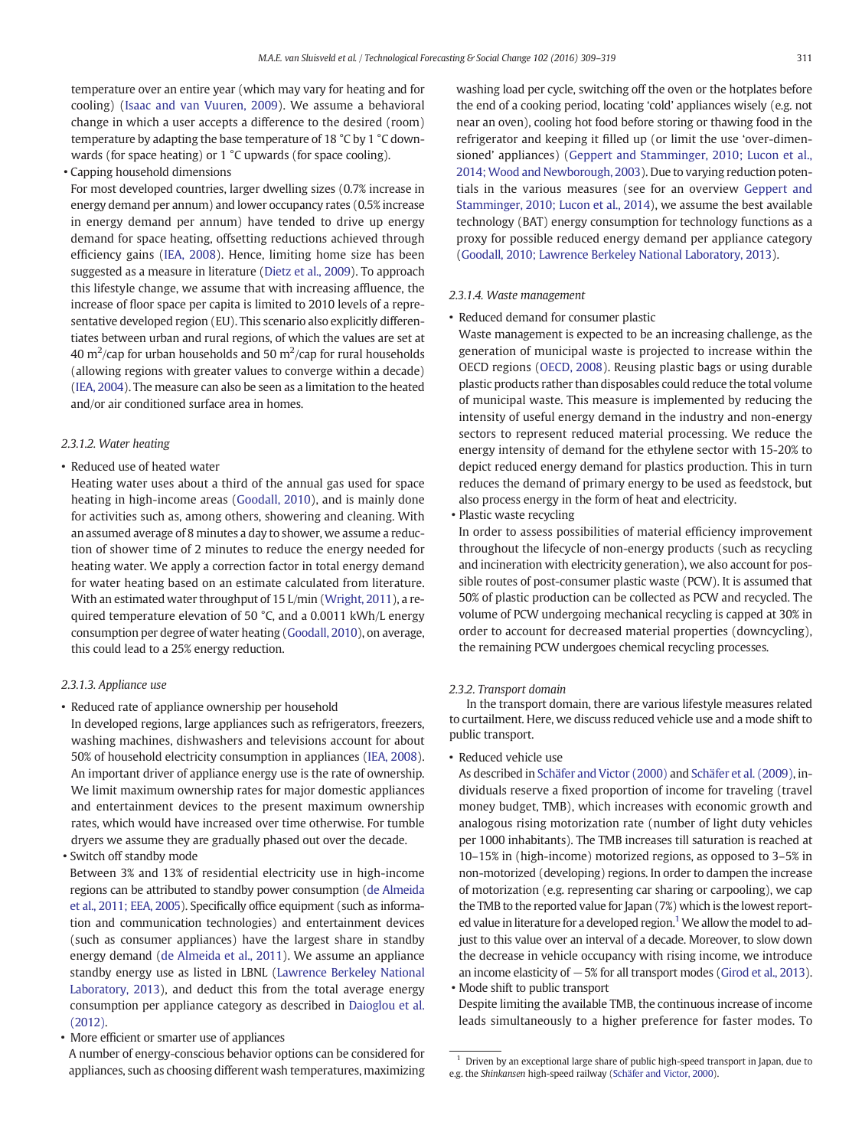temperature over an entire year (which may vary for heating and for cooling) [\(Isaac and van Vuuren, 2009](#page-9-0)). We assume a behavioral change in which a user accepts a difference to the desired (room) temperature by adapting the base temperature of 18 °C by 1 °C downwards (for space heating) or 1 °C upwards (for space cooling).

# • Capping household dimensions

For most developed countries, larger dwelling sizes (0.7% increase in energy demand per annum) and lower occupancy rates (0.5% increase in energy demand per annum) have tended to drive up energy demand for space heating, offsetting reductions achieved through efficiency gains [\(IEA, 2008](#page-9-0)). Hence, limiting home size has been suggested as a measure in literature ([Dietz et al., 2009](#page-9-0)). To approach this lifestyle change, we assume that with increasing affluence, the increase of floor space per capita is limited to 2010 levels of a representative developed region (EU). This scenario also explicitly differentiates between urban and rural regions, of which the values are set at 40 m<sup>2</sup>/cap for urban households and 50 m<sup>2</sup>/cap for rural households (allowing regions with greater values to converge within a decade) [\(IEA, 2004](#page-9-0)). The measure can also be seen as a limitation to the heated and/or air conditioned surface area in homes.

# 2.3.1.2. Water heating

• Reduced use of heated water

Heating water uses about a third of the annual gas used for space heating in high-income areas ([Goodall, 2010\)](#page-9-0), and is mainly done for activities such as, among others, showering and cleaning. With an assumed average of 8 minutes a day to shower, we assume a reduction of shower time of 2 minutes to reduce the energy needed for heating water. We apply a correction factor in total energy demand for water heating based on an estimate calculated from literature. With an estimated water throughput of 15 L/min ([Wright, 2011\)](#page-10-0), a required temperature elevation of 50 °C, and a 0.0011 kWh/L energy consumption per degree of water heating ([Goodall, 2010\)](#page-9-0), on average, this could lead to a 25% energy reduction.

# 2.3.1.3. Appliance use

• Reduced rate of appliance ownership per household

In developed regions, large appliances such as refrigerators, freezers, washing machines, dishwashers and televisions account for about 50% of household electricity consumption in appliances [\(IEA, 2008](#page-9-0)). An important driver of appliance energy use is the rate of ownership. We limit maximum ownership rates for major domestic appliances and entertainment devices to the present maximum ownership rates, which would have increased over time otherwise. For tumble dryers we assume they are gradually phased out over the decade.

• Switch off standby mode

Between 3% and 13% of residential electricity use in high-income regions can be attributed to standby power consumption ([de Almeida](#page-9-0) [et al., 2011; EEA, 2005\)](#page-9-0). Specifically office equipment (such as information and communication technologies) and entertainment devices (such as consumer appliances) have the largest share in standby energy demand [\(de Almeida et al., 2011](#page-9-0)). We assume an appliance standby energy use as listed in LBNL [\(Lawrence Berkeley National](#page-9-0) [Laboratory, 2013\)](#page-9-0), and deduct this from the total average energy consumption per appliance category as described in [Daioglou et al.](#page-9-0) [\(2012\).](#page-9-0)

• More efficient or smarter use of appliances

A number of energy-conscious behavior options can be considered for appliances, such as choosing different wash temperatures, maximizing washing load per cycle, switching off the oven or the hotplates before the end of a cooking period, locating 'cold' appliances wisely (e.g. not near an oven), cooling hot food before storing or thawing food in the refrigerator and keeping it filled up (or limit the use 'over-dimensioned' appliances) [\(Geppert and Stamminger, 2010; Lucon et al.,](#page-9-0) 2014; Wood and Newborough, 2003). Due to varying reduction potentials in the various measures (see for an overview [Geppert and](#page-9-0) [Stamminger, 2010; Lucon et al., 2014](#page-9-0)), we assume the best available technology (BAT) energy consumption for technology functions as a proxy for possible reduced energy demand per appliance category [\(Goodall, 2010; Lawrence Berkeley National Laboratory, 2013](#page-9-0)).

# 2.3.1.4. Waste management

• Reduced demand for consumer plastic

Waste management is expected to be an increasing challenge, as the generation of municipal waste is projected to increase within the OECD regions [\(OECD, 2008\)](#page-9-0). Reusing plastic bags or using durable plastic products rather than disposables could reduce the total volume of municipal waste. This measure is implemented by reducing the intensity of useful energy demand in the industry and non-energy sectors to represent reduced material processing. We reduce the energy intensity of demand for the ethylene sector with 15-20% to depict reduced energy demand for plastics production. This in turn reduces the demand of primary energy to be used as feedstock, but also process energy in the form of heat and electricity.

• Plastic waste recycling

In order to assess possibilities of material efficiency improvement throughout the lifecycle of non-energy products (such as recycling and incineration with electricity generation), we also account for possible routes of post-consumer plastic waste (PCW). It is assumed that 50% of plastic production can be collected as PCW and recycled. The volume of PCW undergoing mechanical recycling is capped at 30% in order to account for decreased material properties (downcycling), the remaining PCW undergoes chemical recycling processes.

# 2.3.2. Transport domain

In the transport domain, there are various lifestyle measures related to curtailment. Here, we discuss reduced vehicle use and a mode shift to public transport.

• Reduced vehicle use

As described in [Schäfer and Victor \(2000\)](#page-10-0) and [Schäfer et al. \(2009\)](#page-10-0), individuals reserve a fixed proportion of income for traveling (travel money budget, TMB), which increases with economic growth and analogous rising motorization rate (number of light duty vehicles per 1000 inhabitants). The TMB increases till saturation is reached at 10–15% in (high-income) motorized regions, as opposed to 3–5% in non-motorized (developing) regions. In order to dampen the increase of motorization (e.g. representing car sharing or carpooling), we cap the TMB to the reported value for Japan (7%) which is the lowest reported value in literature for a developed region.<sup>1</sup> We allow the model to adjust to this value over an interval of a decade. Moreover, to slow down the decrease in vehicle occupancy with rising income, we introduce an income elasticity of −5% for all transport modes [\(Girod et al., 2013](#page-9-0)). • Mode shift to public transport

Despite limiting the available TMB, the continuous increase of income leads simultaneously to a higher preference for faster modes. To

 $1$  Driven by an exceptional large share of public high-speed transport in Japan, due to e.g. the Shinkansen high-speed railway ([Schäfer and Victor, 2000\)](#page-10-0).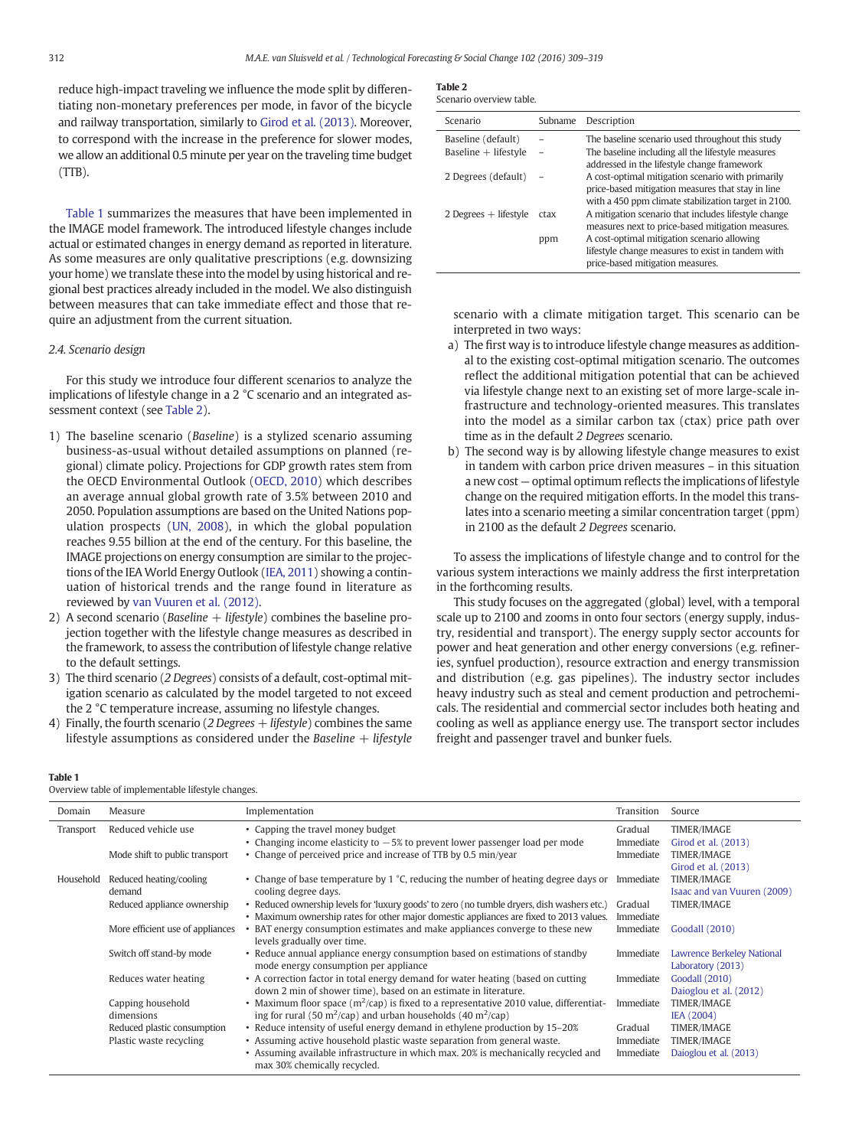reduce high-impact traveling we influence the mode split by differentiating non-monetary preferences per mode, in favor of the bicycle and railway transportation, similarly to [Girod et al. \(2013\).](#page-9-0) Moreover, to correspond with the increase in the preference for slower modes, we allow an additional 0.5 minute per year on the traveling time budget (TTB).

Table 1 summarizes the measures that have been implemented in the IMAGE model framework. The introduced lifestyle changes include actual or estimated changes in energy demand as reported in literature. As some measures are only qualitative prescriptions (e.g. downsizing your home) we translate these into the model by using historical and regional best practices already included in the model. We also distinguish between measures that can take immediate effect and those that require an adjustment from the current situation.

# 2.4. Scenario design

For this study we introduce four different scenarios to analyze the implications of lifestyle change in a 2 °C scenario and an integrated assessment context (see Table 2).

- 1) The baseline scenario (Baseline) is a stylized scenario assuming business-as-usual without detailed assumptions on planned (regional) climate policy. Projections for GDP growth rates stem from the OECD Environmental Outlook ([OECD, 2010](#page-9-0)) which describes an average annual global growth rate of 3.5% between 2010 and 2050. Population assumptions are based on the United Nations population prospects ([UN, 2008\)](#page-10-0), in which the global population reaches 9.55 billion at the end of the century. For this baseline, the IMAGE projections on energy consumption are similar to the projections of the IEA World Energy Outlook ([IEA, 2011\)](#page-9-0) showing a continuation of historical trends and the range found in literature as reviewed by [van Vuuren et al. \(2012\).](#page-10-0)
- 2) A second scenario (Baseline  $+$  lifestyle) combines the baseline projection together with the lifestyle change measures as described in the framework, to assess the contribution of lifestyle change relative to the default settings.
- 3) The third scenario (2 Degrees) consists of a default, cost-optimal mitigation scenario as calculated by the model targeted to not exceed the 2 °C temperature increase, assuming no lifestyle changes.
- 4) Finally, the fourth scenario (2 Degrees  $+$  lifestyle) combines the same lifestyle assumptions as considered under the Baseline  $+$  lifestyle

Overview table of implementable lifestyle changes.

| I<br>، ا<br> | $\sim$ |  |  |
|--------------|--------|--|--|
|              |        |  |  |

| Scenario overview table. |  |
|--------------------------|--|
|                          |  |

| Scenario                                     | Subname | Description                                                                                                                                                       |
|----------------------------------------------|---------|-------------------------------------------------------------------------------------------------------------------------------------------------------------------|
| Baseline (default)<br>Baseline $+$ lifestyle |         | The baseline scenario used throughout this study<br>The baseline including all the lifestyle measures                                                             |
| 2 Degrees (default)                          |         | addressed in the lifestyle change framework<br>A cost-optimal mitigation scenario with primarily<br>price-based mitigation measures that stay in line             |
| 2 Degrees $+$ lifestyle                      | ctax    | with a 450 ppm climate stabilization target in 2100.<br>A mitigation scenario that includes lifestyle change<br>measures next to price-based mitigation measures. |
|                                              | ppm     | A cost-optimal mitigation scenario allowing<br>lifestyle change measures to exist in tandem with<br>price-based mitigation measures.                              |

scenario with a climate mitigation target. This scenario can be interpreted in two ways:

- a) The first way is to introduce lifestyle change measures as additional to the existing cost-optimal mitigation scenario. The outcomes reflect the additional mitigation potential that can be achieved via lifestyle change next to an existing set of more large-scale infrastructure and technology-oriented measures. This translates into the model as a similar carbon tax (ctax) price path over time as in the default 2 Degrees scenario.
- b) The second way is by allowing lifestyle change measures to exist in tandem with carbon price driven measures – in this situation a new cost — optimal optimum reflects the implications of lifestyle change on the required mitigation efforts. In the model this translates into a scenario meeting a similar concentration target (ppm) in 2100 as the default 2 Degrees scenario.

To assess the implications of lifestyle change and to control for the various system interactions we mainly address the first interpretation in the forthcoming results.

This study focuses on the aggregated (global) level, with a temporal scale up to 2100 and zooms in onto four sectors (energy supply, industry, residential and transport). The energy supply sector accounts for power and heat generation and other energy conversions (e.g. refineries, synfuel production), resource extraction and energy transmission and distribution (e.g. gas pipelines). The industry sector includes heavy industry such as steal and cement production and petrochemicals. The residential and commercial sector includes both heating and cooling as well as appliance energy use. The transport sector includes freight and passenger travel and bunker fuels.

#### Table 1

| Domain    | Measure                          | Implementation                                                                                                     | Transition | Source                      |
|-----------|----------------------------------|--------------------------------------------------------------------------------------------------------------------|------------|-----------------------------|
| Transport | Reduced vehicle use              | • Capping the travel money budget                                                                                  | Gradual    | TIMER/IMAGE                 |
|           |                                  | • Changing income elasticity to $-5\%$ to prevent lower passenger load per mode                                    | Immediate  | Girod et al. (2013)         |
|           | Mode shift to public transport   | • Change of perceived price and increase of TTB by 0.5 min/year                                                    | Immediate  | TIMER/IMAGE                 |
|           |                                  |                                                                                                                    |            | Girod et al. (2013)         |
| Household | Reduced heating/cooling          | • Change of base temperature by 1 $^{\circ}$ C, reducing the number of heating degree days or                      | Immediate  | TIMER/IMAGE                 |
|           | demand                           | cooling degree days.                                                                                               |            | Isaac and van Vuuren (2009) |
|           | Reduced appliance ownership      | • Reduced ownership levels for 'luxury goods' to zero (no tumble dryers, dish washers etc.)                        | Gradual    | TIMER/IMAGE                 |
|           |                                  | • Maximum ownership rates for other major domestic appliances are fixed to 2013 values.                            | Immediate  |                             |
|           | More efficient use of appliances | BAT energy consumption estimates and make appliances converge to these new<br>levels gradually over time.          | Immediate  | Goodall (2010)              |
|           | Switch off stand-by mode         | • Reduce annual appliance energy consumption based on estimations of standby                                       | Immediate  | Lawrence Berkeley National  |
|           |                                  | mode energy consumption per appliance                                                                              |            | Laboratory (2013)           |
|           | Reduces water heating            | • A correction factor in total energy demand for water heating (based on cutting                                   | Immediate  | Goodall (2010)              |
|           |                                  | down 2 min of shower time), based on an estimate in literature.                                                    |            | Daioglou et al. (2012)      |
|           | Capping household                | • Maximum floor space $(m^2/cap)$ is fixed to a representative 2010 value, differentiat-                           | Immediate  | TIMER/IMAGE                 |
|           | dimensions                       | ing for rural (50 m <sup>2</sup> /cap) and urban households (40 m <sup>2</sup> /cap)                               |            | IEA (2004)                  |
|           | Reduced plastic consumption      | • Reduce intensity of useful energy demand in ethylene production by 15–20%                                        | Gradual    | TIMER/IMAGE                 |
|           | Plastic waste recycling          | • Assuming active household plastic waste separation from general waste.                                           | Immediate  | TIMER/IMAGE                 |
|           |                                  | • Assuming available infrastructure in which max, 20% is mechanically recycled and<br>max 30% chemically recycled. | Immediate  | Daioglou et al. (2013)      |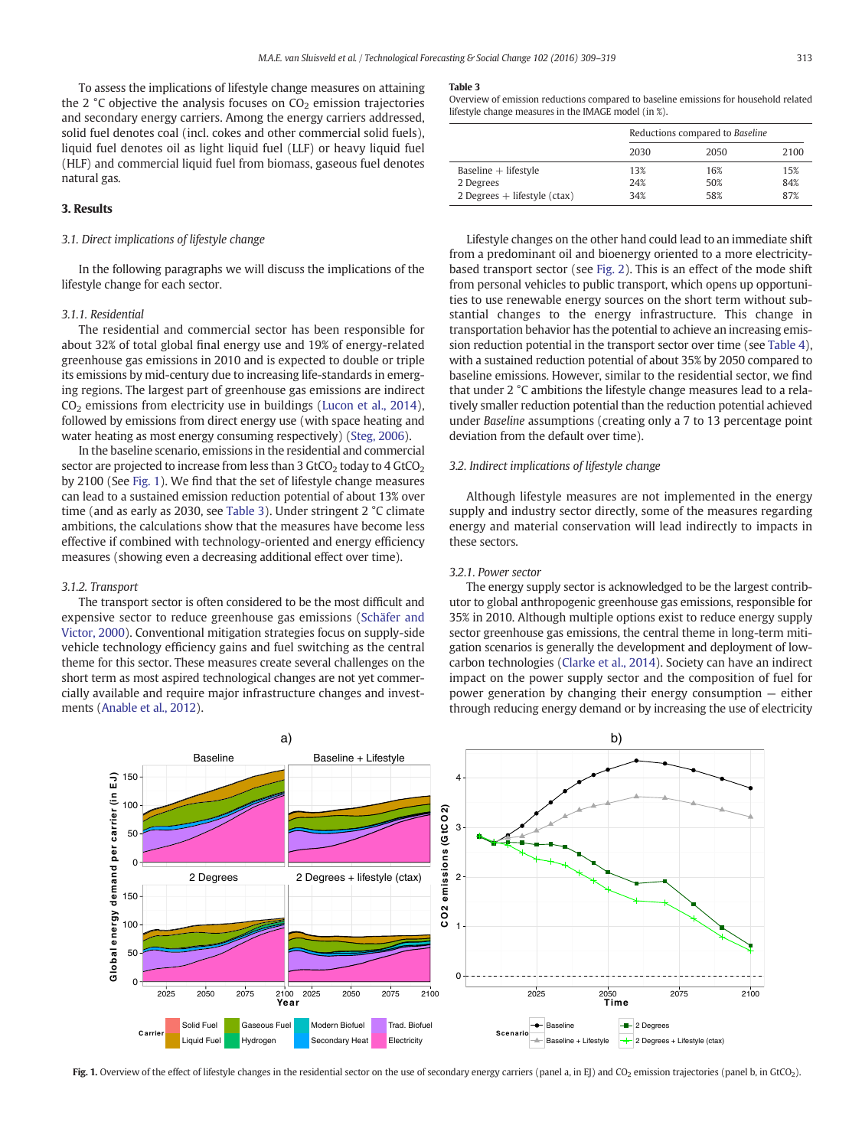<span id="page-4-0"></span>To assess the implications of lifestyle change measures on attaining the 2  $\degree$ C objective the analysis focuses on  $CO<sub>2</sub>$  emission trajectories and secondary energy carriers. Among the energy carriers addressed, solid fuel denotes coal (incl. cokes and other commercial solid fuels), liquid fuel denotes oil as light liquid fuel (LLF) or heavy liquid fuel (HLF) and commercial liquid fuel from biomass, gaseous fuel denotes natural gas.

# 3. Results

# 3.1. Direct implications of lifestyle change

In the following paragraphs we will discuss the implications of the lifestyle change for each sector.

## 3.1.1. Residential

The residential and commercial sector has been responsible for about 32% of total global final energy use and 19% of energy-related greenhouse gas emissions in 2010 and is expected to double or triple its emissions by mid-century due to increasing life-standards in emerging regions. The largest part of greenhouse gas emissions are indirect  $CO<sub>2</sub>$  emissions from electricity use in buildings ([Lucon et al., 2014](#page-9-0)), followed by emissions from direct energy use (with space heating and water heating as most energy consuming respectively) ([Steg, 2006](#page-10-0)).

In the baseline scenario, emissions in the residential and commercial sector are projected to increase from less than 3 GtCO<sub>2</sub> today to  $4$  GtCO<sub>2</sub> by 2100 (See Fig. 1). We find that the set of lifestyle change measures can lead to a sustained emission reduction potential of about 13% over time (and as early as 2030, see Table 3). Under stringent 2 °C climate ambitions, the calculations show that the measures have become less effective if combined with technology-oriented and energy efficiency measures (showing even a decreasing additional effect over time).

#### 3.1.2. Transport

The transport sector is often considered to be the most difficult and expensive sector to reduce greenhouse gas emissions ([Schäfer and](#page-10-0) [Victor, 2000](#page-10-0)). Conventional mitigation strategies focus on supply-side vehicle technology efficiency gains and fuel switching as the central theme for this sector. These measures create several challenges on the short term as most aspired technological changes are not yet commercially available and require major infrastructure changes and investments [\(Anable et al., 2012](#page-9-0)).

#### Table 3

Overview of emission reductions compared to baseline emissions for household related lifestyle change measures in the IMAGE model (in %).

|                                | Reductions compared to Baseline |      |      |
|--------------------------------|---------------------------------|------|------|
|                                | 2030                            | 2050 | 2100 |
| Baseline $+$ lifestyle         | 13%                             | 16%  | 15%  |
| 2 Degrees                      | 24%                             | 50%  | 84%  |
| 2 Degrees $+$ lifestyle (ctax) | 34%                             | 58%  | 87%  |

Lifestyle changes on the other hand could lead to an immediate shift from a predominant oil and bioenergy oriented to a more electricitybased transport sector (see [Fig. 2\)](#page-5-0). This is an effect of the mode shift from personal vehicles to public transport, which opens up opportunities to use renewable energy sources on the short term without substantial changes to the energy infrastructure. This change in transportation behavior has the potential to achieve an increasing emission reduction potential in the transport sector over time (see [Table 4](#page-5-0)), with a sustained reduction potential of about 35% by 2050 compared to baseline emissions. However, similar to the residential sector, we find that under 2 °C ambitions the lifestyle change measures lead to a relatively smaller reduction potential than the reduction potential achieved under Baseline assumptions (creating only a 7 to 13 percentage point deviation from the default over time).

# 3.2. Indirect implications of lifestyle change

Although lifestyle measures are not implemented in the energy supply and industry sector directly, some of the measures regarding energy and material conservation will lead indirectly to impacts in these sectors.

#### 3.2.1. Power sector

The energy supply sector is acknowledged to be the largest contributor to global anthropogenic greenhouse gas emissions, responsible for 35% in 2010. Although multiple options exist to reduce energy supply sector greenhouse gas emissions, the central theme in long-term mitigation scenarios is generally the development and deployment of lowcarbon technologies ([Clarke et al., 2014\)](#page-9-0). Society can have an indirect impact on the power supply sector and the composition of fuel for power generation by changing their energy consumption — either through reducing energy demand or by increasing the use of electricity



Fig. 1. Overview of the effect of lifestyle changes in the residential sector on the use of secondary energy carriers (panel a, in EJ) and CO<sub>2</sub> emission trajectories (panel b, in GtCO<sub>2</sub>).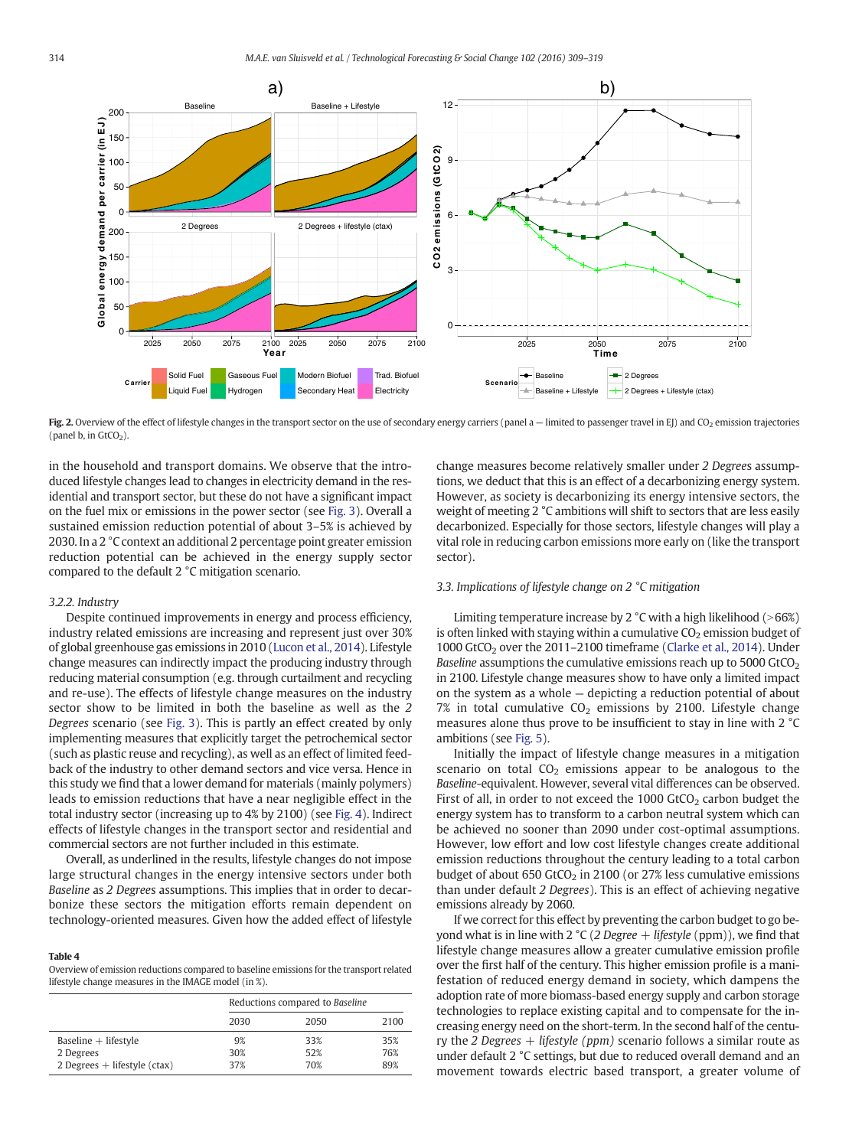<span id="page-5-0"></span>

Fig. 2. Overview of the effect of lifestyle changes in the transport sector on the use of secondary energy carriers (panel a - limited to passenger travel in EJ) and CO<sub>2</sub> emission trajectories (panel b, in  $GtCO<sub>2</sub>$ ).

in the household and transport domains. We observe that the introduced lifestyle changes lead to changes in electricity demand in the residential and transport sector, but these do not have a significant impact on the fuel mix or emissions in the power sector (see [Fig. 3\)](#page-6-0). Overall a sustained emission reduction potential of about 3–5% is achieved by 2030. In a 2 °C context an additional 2 percentage point greater emission reduction potential can be achieved in the energy supply sector compared to the default 2 °C mitigation scenario.

#### 3.2.2. Industry

Despite continued improvements in energy and process efficiency, industry related emissions are increasing and represent just over 30% of global greenhouse gas emissions in 2010 ([Lucon et al., 2014\)](#page-9-0). Lifestyle change measures can indirectly impact the producing industry through reducing material consumption (e.g. through curtailment and recycling and re-use). The effects of lifestyle change measures on the industry sector show to be limited in both the baseline as well as the 2 Degrees scenario (see [Fig. 3\)](#page-6-0). This is partly an effect created by only implementing measures that explicitly target the petrochemical sector (such as plastic reuse and recycling), as well as an effect of limited feedback of the industry to other demand sectors and vice versa. Hence in this study we find that a lower demand for materials (mainly polymers) leads to emission reductions that have a near negligible effect in the total industry sector (increasing up to 4% by 2100) (see [Fig. 4](#page-6-0)). Indirect effects of lifestyle changes in the transport sector and residential and commercial sectors are not further included in this estimate.

Overall, as underlined in the results, lifestyle changes do not impose large structural changes in the energy intensive sectors under both Baseline as 2 Degrees assumptions. This implies that in order to decarbonize these sectors the mitigation efforts remain dependent on technology-oriented measures. Given how the added effect of lifestyle

#### Table 4

Overview of emission reductions compared to baseline emissions for the transport related lifestyle change measures in the IMAGE model (in %).

|                                | Reductions compared to Baseline |      |      |
|--------------------------------|---------------------------------|------|------|
|                                | 2030                            | 2050 | 2100 |
| Baseline $+$ lifestyle         | 9%                              | 33%  | 35%  |
| 2 Degrees                      | 30%                             | 52%  | 76%  |
| 2 Degrees $+$ lifestyle (ctax) | 37%                             | 70%  | 89%  |

change measures become relatively smaller under 2 Degrees assumptions, we deduct that this is an effect of a decarbonizing energy system. However, as society is decarbonizing its energy intensive sectors, the weight of meeting 2 °C ambitions will shift to sectors that are less easily decarbonized. Especially for those sectors, lifestyle changes will play a vital role in reducing carbon emissions more early on (like the transport sector).

# 3.3. Implications of lifestyle change on 2 °C mitigation

Limiting temperature increase by 2  $^{\circ}$ C with a high likelihood (>66%) is often linked with staying within a cumulative  $CO<sub>2</sub>$  emission budget of 1000 GtCO<sub>2</sub> over the 2011–2100 timeframe [\(Clarke et al., 2014\)](#page-9-0). Under Baseline assumptions the cumulative emissions reach up to 5000 GtCO<sub>2</sub> in 2100. Lifestyle change measures show to have only a limited impact on the system as a whole — depicting a reduction potential of about 7% in total cumulative  $CO<sub>2</sub>$  emissions by 2100. Lifestyle change measures alone thus prove to be insufficient to stay in line with 2 °C ambitions (see [Fig. 5\)](#page-7-0).

Initially the impact of lifestyle change measures in a mitigation scenario on total  $CO<sub>2</sub>$  emissions appear to be analogous to the Baseline-equivalent. However, several vital differences can be observed. First of all, in order to not exceed the  $1000$  GtCO<sub>2</sub> carbon budget the energy system has to transform to a carbon neutral system which can be achieved no sooner than 2090 under cost-optimal assumptions. However, low effort and low cost lifestyle changes create additional emission reductions throughout the century leading to a total carbon budget of about  $650$  GtCO<sub>2</sub> in 2100 (or 27% less cumulative emissions than under default 2 Degrees). This is an effect of achieving negative emissions already by 2060.

If we correct for this effect by preventing the carbon budget to go beyond what is in line with 2 °C (2 Degree  $+$  lifestyle (ppm)), we find that lifestyle change measures allow a greater cumulative emission profile over the first half of the century. This higher emission profile is a manifestation of reduced energy demand in society, which dampens the adoption rate of more biomass-based energy supply and carbon storage technologies to replace existing capital and to compensate for the increasing energy need on the short-term. In the second half of the century the 2 Degrees  $+$  lifestyle (ppm) scenario follows a similar route as under default 2 °C settings, but due to reduced overall demand and an movement towards electric based transport, a greater volume of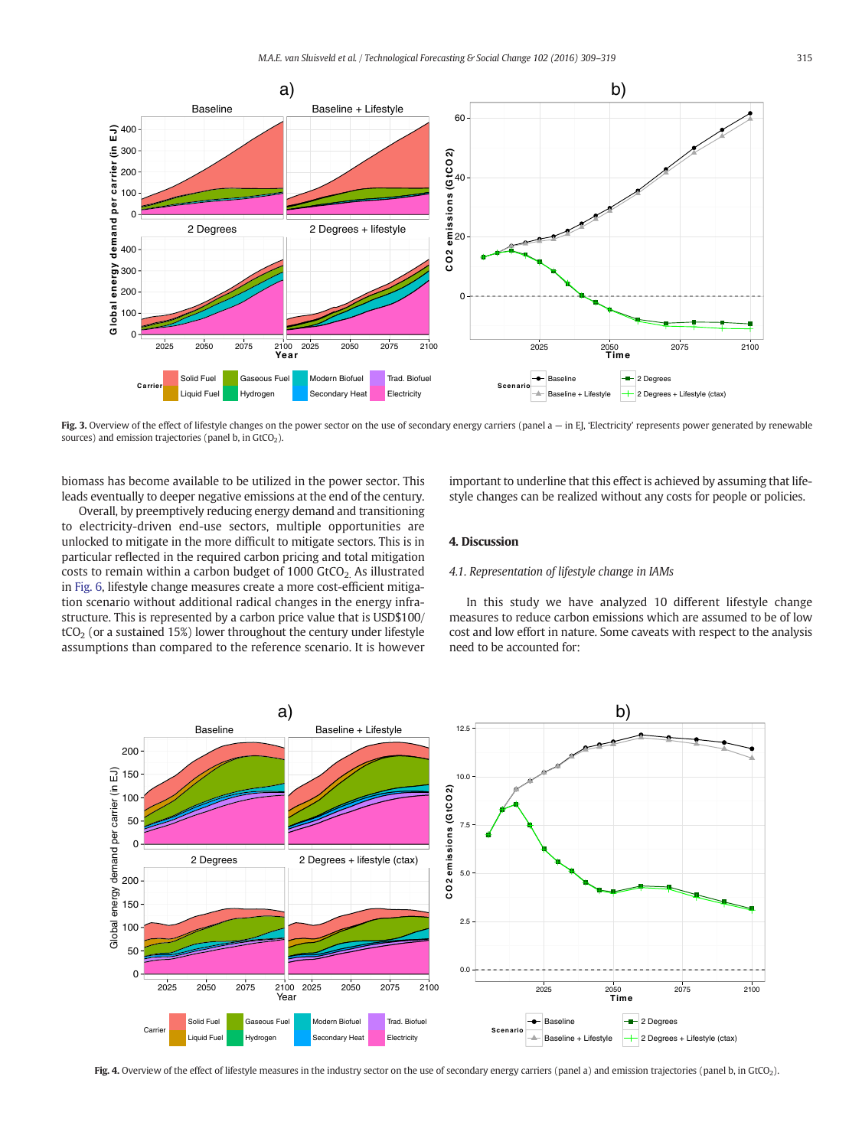<span id="page-6-0"></span>

Fig. 3. Overview of the effect of lifestyle changes on the power sector on the use of secondary energy carriers (panel a - in EJ, 'Electricity' represents power generated by renewable sources) and emission trajectories (panel b, in  $GtCO<sub>2</sub>$ ).

biomass has become available to be utilized in the power sector. This leads eventually to deeper negative emissions at the end of the century.

Overall, by preemptively reducing energy demand and transitioning to electricity-driven end-use sectors, multiple opportunities are unlocked to mitigate in the more difficult to mitigate sectors. This is in particular reflected in the required carbon pricing and total mitigation costs to remain within a carbon budget of  $1000$  GtCO<sub>2</sub>. As illustrated in [Fig. 6](#page-7-0), lifestyle change measures create a more cost-efficient mitigation scenario without additional radical changes in the energy infrastructure. This is represented by a carbon price value that is USD\$100/  $tCO<sub>2</sub>$  (or a sustained 15%) lower throughout the century under lifestyle assumptions than compared to the reference scenario. It is however important to underline that this effect is achieved by assuming that lifestyle changes can be realized without any costs for people or policies.

# 4. Discussion

# 4.1. Representation of lifestyle change in IAMs

In this study we have analyzed 10 different lifestyle change measures to reduce carbon emissions which are assumed to be of low cost and low effort in nature. Some caveats with respect to the analysis need to be accounted for:



Fig. 4. Overview of the effect of lifestyle measures in the industry sector on the use of secondary energy carriers (panel a) and emission trajectories (panel b, in GtCO<sub>2</sub>).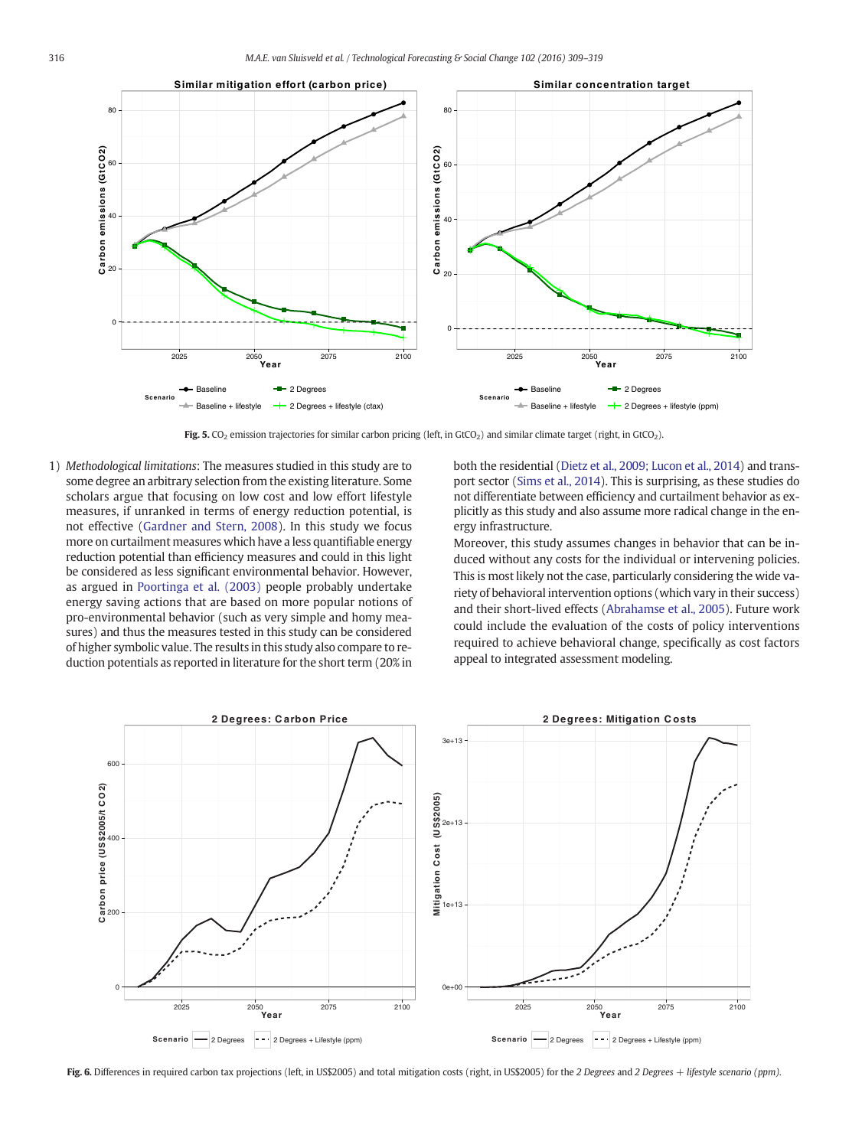<span id="page-7-0"></span>

Fig. 5. CO<sub>2</sub> emission trajectories for similar carbon pricing (left, in GtCO<sub>2</sub>) and similar climate target (right, in GtCO<sub>2</sub>).

1) Methodological limitations: The measures studied in this study are to some degree an arbitrary selection from the existing literature. Some scholars argue that focusing on low cost and low effort lifestyle measures, if unranked in terms of energy reduction potential, is not effective ([Gardner and Stern, 2008](#page-9-0)). In this study we focus more on curtailment measures which have a less quantifiable energy reduction potential than efficiency measures and could in this light be considered as less significant environmental behavior. However, as argued in [Poortinga et al. \(2003\)](#page-10-0) people probably undertake energy saving actions that are based on more popular notions of pro-environmental behavior (such as very simple and homy measures) and thus the measures tested in this study can be considered of higher symbolic value. The results in this study also compare to reduction potentials as reported in literature for the short term (20% in

both the residential ([Dietz et al., 2009; Lucon et al., 2014](#page-9-0)) and transport sector ([Sims et al., 2014\)](#page-10-0). This is surprising, as these studies do not differentiate between efficiency and curtailment behavior as explicitly as this study and also assume more radical change in the energy infrastructure.

Moreover, this study assumes changes in behavior that can be induced without any costs for the individual or intervening policies. This is most likely not the case, particularly considering the wide variety of behavioral intervention options (which vary in their success) and their short-lived effects [\(Abrahamse et al., 2005](#page-9-0)). Future work could include the evaluation of the costs of policy interventions required to achieve behavioral change, specifically as cost factors appeal to integrated assessment modeling.



Fig. 6. Differences in required carbon tax projections (left, in US\$2005) and total mitigation costs (right, in US\$2005) for the 2 Degrees and 2 Degrees + lifestyle scenario (ppm).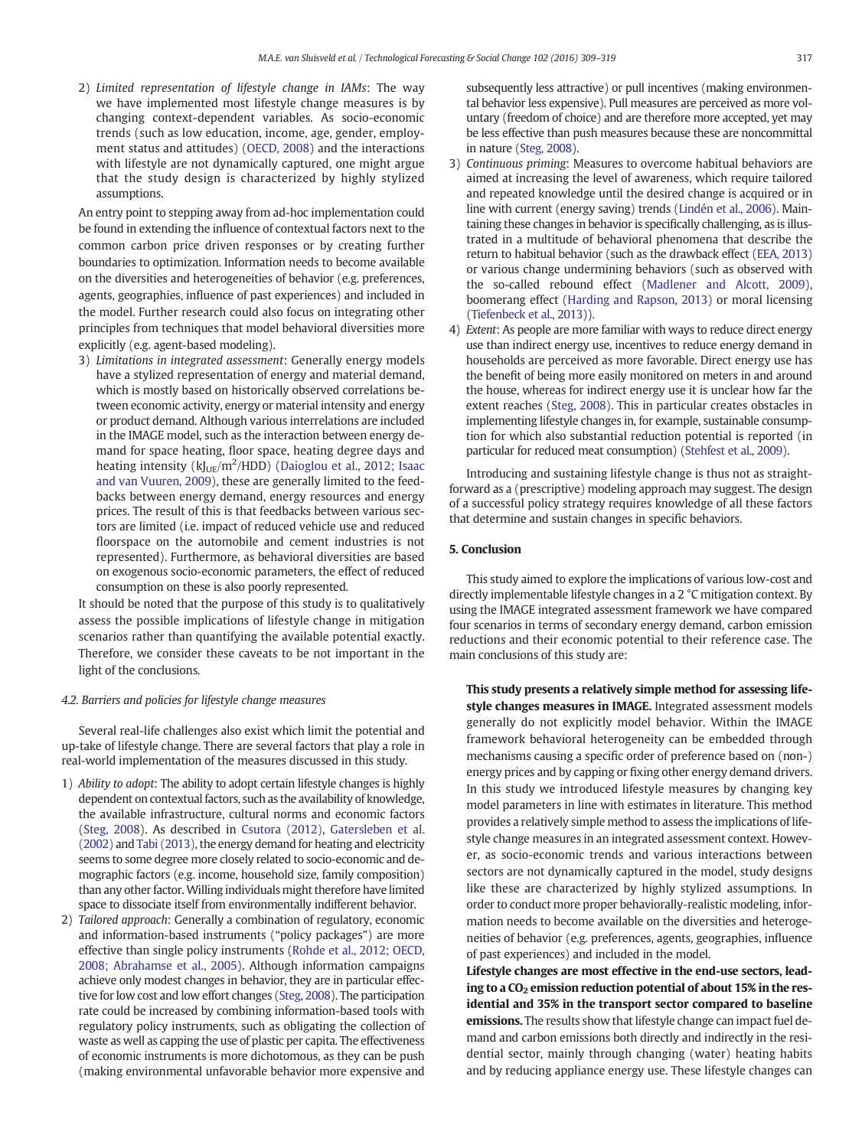<span id="page-8-0"></span>2) Limited representation of lifestyle change in IAMs: The way we have implemented most lifestyle change measures is by changing context-dependent variables. As socio-economic trends (such as low education, income, age, gender, employment status and attitudes) ([OECD, 2008\)](#page-9-0) and the interactions with lifestyle are not dynamically captured, one might argue that the study design is characterized by highly stylized assumptions.

An entry point to stepping away from ad-hoc implementation could be found in extending the influence of contextual factors next to the common carbon price driven responses or by creating further boundaries to optimization. Information needs to become available on the diversities and heterogeneities of behavior (e.g. preferences, agents, geographies, influence of past experiences) and included in the model. Further research could also focus on integrating other principles from techniques that model behavioral diversities more explicitly (e.g. agent-based modeling).

3) Limitations in integrated assessment: Generally energy models have a stylized representation of energy and material demand, which is mostly based on historically observed correlations between economic activity, energy or material intensity and energy or product demand. Although various interrelations are included in the IMAGE model, such as the interaction between energy demand for space heating, floor space, heating degree days and heating intensity (kJ $_{\mathrm{UE}}$ /m $^{2}$ /HDD) ([Daioglou et al., 2012; Isaac](#page-9-0) [and van Vuuren, 2009\)](#page-9-0), these are generally limited to the feedbacks between energy demand, energy resources and energy prices. The result of this is that feedbacks between various sectors are limited (i.e. impact of reduced vehicle use and reduced floorspace on the automobile and cement industries is not represented). Furthermore, as behavioral diversities are based on exogenous socio-economic parameters, the effect of reduced consumption on these is also poorly represented.

It should be noted that the purpose of this study is to qualitatively assess the possible implications of lifestyle change in mitigation scenarios rather than quantifying the available potential exactly. Therefore, we consider these caveats to be not important in the light of the conclusions.

4.2. Barriers and policies for lifestyle change measures

Several real-life challenges also exist which limit the potential and up-take of lifestyle change. There are several factors that play a role in real-world implementation of the measures discussed in this study.

- 1) Ability to adopt: The ability to adopt certain lifestyle changes is highly dependent on contextual factors, such as the availability of knowledge, the available infrastructure, cultural norms and economic factors ([Steg, 2008\)](#page-10-0). As described in [Csutora \(2012\),](#page-9-0) [Gatersleben et al.](#page-9-0) [\(2002\)](#page-9-0) and [Tabi \(2013\),](#page-10-0) the energy demand for heating and electricity seems to some degree more closely related to socio-economic and demographic factors (e.g. income, household size, family composition) than any other factor. Willing individuals might therefore have limited space to dissociate itself from environmentally indifferent behavior.
- 2) Tailored approach: Generally a combination of regulatory, economic and information-based instruments ("policy packages") are more effective than single policy instruments [\(Rohde et al., 2012; OECD,](#page-10-0) [2008; Abrahamse et al., 2005\)](#page-10-0). Although information campaigns achieve only modest changes in behavior, they are in particular effective for low cost and low effort changes [\(Steg, 2008](#page-10-0)). The participation rate could be increased by combining information-based tools with regulatory policy instruments, such as obligating the collection of waste as well as capping the use of plastic per capita. The effectiveness of economic instruments is more dichotomous, as they can be push (making environmental unfavorable behavior more expensive and

subsequently less attractive) or pull incentives (making environmental behavior less expensive). Pull measures are perceived as more voluntary (freedom of choice) and are therefore more accepted, yet may be less effective than push measures because these are noncommittal in nature [\(Steg, 2008](#page-10-0)).

- 3) Continuous priming: Measures to overcome habitual behaviors are aimed at increasing the level of awareness, which require tailored and repeated knowledge until the desired change is acquired or in line with current (energy saving) trends [\(Lindén et al., 2006](#page-9-0)). Maintaining these changes in behavior is specifically challenging, as is illustrated in a multitude of behavioral phenomena that describe the return to habitual behavior (such as the drawback effect [\(EEA, 2013](#page-9-0)) or various change undermining behaviors (such as observed with the so-called rebound effect [\(Madlener and Alcott, 2009](#page-9-0)), boomerang effect [\(Harding and Rapson, 2013](#page-9-0)) or moral licensing ([Tiefenbeck et al., 2013\)](#page-10-0)).
- 4) Extent: As people are more familiar with ways to reduce direct energy use than indirect energy use, incentives to reduce energy demand in households are perceived as more favorable. Direct energy use has the benefit of being more easily monitored on meters in and around the house, whereas for indirect energy use it is unclear how far the extent reaches [\(Steg, 2008\)](#page-10-0). This in particular creates obstacles in implementing lifestyle changes in, for example, sustainable consumption for which also substantial reduction potential is reported (in particular for reduced meat consumption) [\(Stehfest et al., 2009\)](#page-10-0).

Introducing and sustaining lifestyle change is thus not as straightforward as a (prescriptive) modeling approach may suggest. The design of a successful policy strategy requires knowledge of all these factors that determine and sustain changes in specific behaviors.

#### 5. Conclusion

This study aimed to explore the implications of various low-cost and directly implementable lifestyle changes in a 2 °C mitigation context. By using the IMAGE integrated assessment framework we have compared four scenarios in terms of secondary energy demand, carbon emission reductions and their economic potential to their reference case. The main conclusions of this study are:

This study presents a relatively simple method for assessing lifestyle changes measures in IMAGE. Integrated assessment models generally do not explicitly model behavior. Within the IMAGE framework behavioral heterogeneity can be embedded through mechanisms causing a specific order of preference based on (non-) energy prices and by capping or fixing other energy demand drivers. In this study we introduced lifestyle measures by changing key model parameters in line with estimates in literature. This method provides a relatively simple method to assess the implications of lifestyle change measures in an integrated assessment context. However, as socio-economic trends and various interactions between sectors are not dynamically captured in the model, study designs like these are characterized by highly stylized assumptions. In order to conduct more proper behaviorally-realistic modeling, information needs to become available on the diversities and heterogeneities of behavior (e.g. preferences, agents, geographies, influence of past experiences) and included in the model.

Lifestyle changes are most effective in the end-use sectors, leading to a  $CO<sub>2</sub>$  emission reduction potential of about 15% in the residential and 35% in the transport sector compared to baseline emissions. The results show that lifestyle change can impact fuel demand and carbon emissions both directly and indirectly in the residential sector, mainly through changing (water) heating habits and by reducing appliance energy use. These lifestyle changes can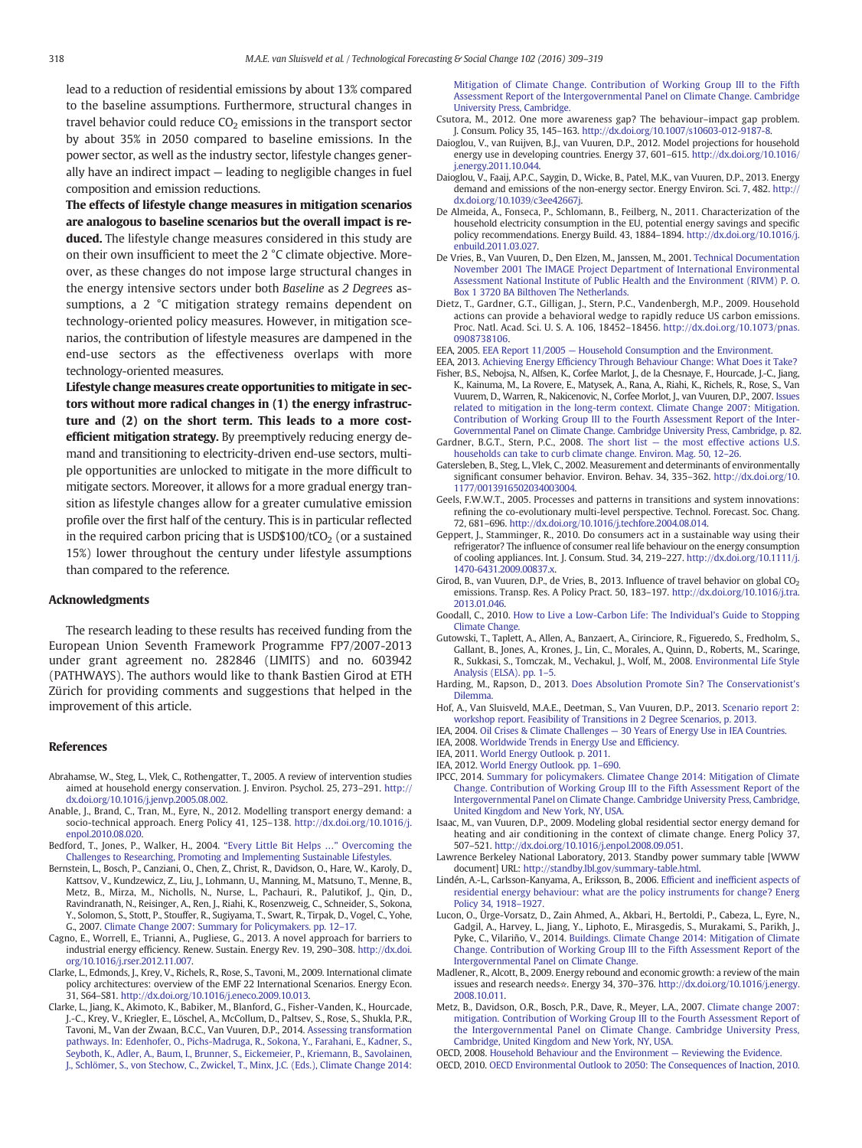<span id="page-9-0"></span>lead to a reduction of residential emissions by about 13% compared to the baseline assumptions. Furthermore, structural changes in travel behavior could reduce  $CO<sub>2</sub>$  emissions in the transport sector by about 35% in 2050 compared to baseline emissions. In the power sector, as well as the industry sector, lifestyle changes generally have an indirect impact — leading to negligible changes in fuel composition and emission reductions.

The effects of lifestyle change measures in mitigation scenarios are analogous to baseline scenarios but the overall impact is reduced. The lifestyle change measures considered in this study are on their own insufficient to meet the 2 °C climate objective. Moreover, as these changes do not impose large structural changes in the energy intensive sectors under both Baseline as 2 Degrees assumptions, a 2 °C mitigation strategy remains dependent on technology-oriented policy measures. However, in mitigation scenarios, the contribution of lifestyle measures are dampened in the end-use sectors as the effectiveness overlaps with more technology-oriented measures.

Lifestyle change measures create opportunities to mitigate in sectors without more radical changes in (1) the energy infrastructure and (2) on the short term. This leads to a more costefficient mitigation strategy. By preemptively reducing energy demand and transitioning to electricity-driven end-use sectors, multiple opportunities are unlocked to mitigate in the more difficult to mitigate sectors. Moreover, it allows for a more gradual energy transition as lifestyle changes allow for a greater cumulative emission profile over the first half of the century. This is in particular reflected in the required carbon pricing that is  $USD$100/tCO<sub>2</sub>$  (or a sustained 15%) lower throughout the century under lifestyle assumptions than compared to the reference.

# Acknowledgments

The research leading to these results has received funding from the European Union Seventh Framework Programme FP7/2007-2013 under grant agreement no. 282846 (LIMITS) and no. 603942 (PATHWAYS). The authors would like to thank Bastien Girod at ETH Zürich for providing comments and suggestions that helped in the improvement of this article.

# References

- Abrahamse, W., Steg, L., Vlek, C., Rothengatter, T., 2005. A review of intervention studies aimed at household energy conservation. J. Environ. Psychol. 25, 273–291. http:// dx.doi.org[/10.1016/j.jenvp.2005.08.002](http://dx.doi.org/10.1016/j.jenvp.2005.08.002).
- Anable, J., Brand, C., Tran, M., Eyre, N., 2012. Modelling transport energy demand: a socio-technical approach. Energ Policy 41, 125–138. http://dx.doi.org[/10.1016/j.](http://dx.doi.org/10.1016/j.enpol.2010.08.020) [enpol.2010.08.020.](http://dx.doi.org/10.1016/j.enpol.2010.08.020)
- Bedford, T., Jones, P., Walker, H., 2004. "[Every Little Bit Helps](http://refhub.elsevier.com/S0040-1625(15)00260-7/rf0015) …" Overcoming the [Challenges to Researching, Promoting and Implementing Sustainable Lifestyles](http://refhub.elsevier.com/S0040-1625(15)00260-7/rf0015).
- Bernstein, L., Bosch, P., Canziani, O., Chen, Z., Christ, R., Davidson, O., Hare, W., Karoly, D., Kattsov, V., Kundzewicz, Z., Liu, J., Lohmann, U., Manning, M., Matsuno, T., Menne, B., Metz, B., Mirza, M., Nicholls, N., Nurse, L., Pachauri, R., Palutikof, J., Qin, D., Ravindranath, N., Reisinger, A., Ren, J., Riahi, K., Rosenzweig, C., Schneider, S., Sokona, Y., Solomon, S., Stott, P., Stouffer, R., Sugiyama, T., Swart, R., Tirpak, D., Vogel, C., Yohe, G., 2007. [Climate Change 2007: Summary for Policymakers. pp. 12](http://refhub.elsevier.com/S0040-1625(15)00260-7/rf0020)–17.
- Cagno, E., Worrell, E., Trianni, A., Pugliese, G., 2013. A novel approach for barriers to industrial energy efficiency. Renew. Sustain. Energy Rev. 19, 290–308. http://dx.doi. org[/10.1016/j.rser.2012.11.007](http://dx.doi.org/10.1016/j.rser.2012.11.007).
- Clarke, L., Edmonds, J., Krey, V., Richels, R., Rose, S., Tavoni, M., 2009. International climate policy architectures: overview of the EMF 22 International Scenarios. Energy Econ. 31, S64–S81. http://dx.doi.org[/10.1016/j.eneco.2009.10.013](http://dx.doi.org/10.1016/j.eneco.2009.10.013).
- Clarke, L., Jiang, K., Akimoto, K., Babiker, M., Blanford, G., Fisher-Vanden, K., Hourcade, J.-C., Krey, V., Kriegler, E., Löschel, A., McCollum, D., Paltsev, S., Rose, S., Shukla, P.R., Tavoni, M., Van der Zwaan, B.C.C., Van Vuuren, D.P., 2014. [Assessing transformation](http://refhub.elsevier.com/S0040-1625(15)00260-7/rf0035) [pathways. In: Edenhofer, O., Pichs-Madruga, R., Sokona, Y., Farahani, E., Kadner, S.,](http://refhub.elsevier.com/S0040-1625(15)00260-7/rf0035) [Seyboth, K., Adler, A., Baum, I., Brunner, S., Eickemeier, P., Kriemann, B., Savolainen,](http://refhub.elsevier.com/S0040-1625(15)00260-7/rf0035) [J., Schlömer, S., von Stechow, C., Zwickel, T., Minx, J.C. \(Eds.\), Climate Change 2014:](http://refhub.elsevier.com/S0040-1625(15)00260-7/rf0035)

[Mitigation of Climate Change. Contribution of Working Group III to the Fifth](http://refhub.elsevier.com/S0040-1625(15)00260-7/rf0035) [Assessment Report of the Intergovernmental Panel on Climate Change. Cambridge](http://refhub.elsevier.com/S0040-1625(15)00260-7/rf0035) [University Press, Cambridge](http://refhub.elsevier.com/S0040-1625(15)00260-7/rf0035).

- Csutora, M., 2012. One more awareness gap? The behaviour–impact gap problem. J. Consum. Policy 35, 145–163. http://dx.doi.org[/10.1007/s10603-012-9187-8](http://dx.doi.org/10.1007/s10603-012-9187-8).
- Daioglou, V., van Ruijven, B.J., van Vuuren, D.P., 2012. Model projections for household energy use in developing countries. Energy 37, 601–615. http://dx.doi.org/[10.1016/](http://dx.doi.org/10.1016/j.energy.2011.10.044) [j.energy.2011.10.044](http://dx.doi.org/10.1016/j.energy.2011.10.044).
- Daioglou, V., Faaij, A.P.C., Saygin, D., Wicke, B., Patel, M.K., van Vuuren, D.P., 2013. Energy demand and emissions of the non-energy sector. Energy Environ. Sci. 7, 482. http:// dx.doi.org[/10.1039/c3ee42667j](http://dx.doi.org/10.1039/c3ee42667j).
- De Almeida, A., Fonseca, P., Schlomann, B., Feilberg, N., 2011. Characterization of the household electricity consumption in the EU, potential energy savings and specific policy recommendations. Energy Build. 43, 1884–1894. http://dx.doi.org[/10.1016/j.](http://dx.doi.org/10.1016/j.enbuild.2011.03.027) [enbuild.2011.03.027](http://dx.doi.org/10.1016/j.enbuild.2011.03.027).
- De Vries, B., Van Vuuren, D., Den Elzen, M., Janssen, M., 2001. [Technical Documentation](http://refhub.elsevier.com/S0040-1625(15)00260-7/rf0060) [November 2001 The IMAGE Project Department of International Environmental](http://refhub.elsevier.com/S0040-1625(15)00260-7/rf0060) [Assessment National Institute of Public Health and the Environment \(RIVM\) P. O.](http://refhub.elsevier.com/S0040-1625(15)00260-7/rf0060) [Box 1 3720 BA Bilthoven The Netherlands](http://refhub.elsevier.com/S0040-1625(15)00260-7/rf0060).
- Dietz, T., Gardner, G.T., Gilligan, J., Stern, P.C., Vandenbergh, M.P., 2009. Household actions can provide a behavioral wedge to rapidly reduce US carbon emissions. Proc. Natl. Acad. Sci. U. S. A. 106, 18452–18456. http://dx.doi.org/[10.1073/pnas.](http://dx.doi.org/10.1073/pnas.0908738106) [0908738106](http://dx.doi.org/10.1073/pnas.0908738106).
- EEA, 2005. EEA Report 11/2005 [Household Consumption and the Environment.](http://refhub.elsevier.com/S0040-1625(15)00260-7/rf0070)
- EEA, 2013. Achieving Energy Effi[ciency Through Behaviour Change: What Does it Take?](http://refhub.elsevier.com/S0040-1625(15)00260-7/rf0075) Fisher, B.S., Nebojsa, N., Alfsen, K., Corfee Marlot, J., de la Chesnaye, F., Hourcade, J.-C., Jiang, K., Kainuma, M., La Rovere, E., Matysek, A., Rana, A., Riahi, K., Richels, R., Rose, S., Van Vuurem, D., Warren, R., Nakicenovic, N., Corfee Morlot, J., van Vuuren, D.P., 2007. [Issues](http://refhub.elsevier.com/S0040-1625(15)00260-7/rf0080) [related to mitigation in the long-term context. Climate Change 2007: Mitigation.](http://refhub.elsevier.com/S0040-1625(15)00260-7/rf0080) [Contribution of Working Group III to the Fourth Assessment Report of the Inter-](http://refhub.elsevier.com/S0040-1625(15)00260-7/rf0080)[Governmental Panel on Climate Change. Cambridge University Press, Cambridge, p. 82](http://refhub.elsevier.com/S0040-1625(15)00260-7/rf0080).
- Gardner, B.G.T., Stern, P.C., 2008. The short list [the most effective actions U.S.](http://refhub.elsevier.com/S0040-1625(15)00260-7/rf0085) [households can take to curb climate change. Environ. Mag. 50, 12](http://refhub.elsevier.com/S0040-1625(15)00260-7/rf0085)–26.
- Gatersleben, B., Steg, L., Vlek, C., 2002. Measurement and determinants of environmentally significant consumer behavior. Environ. Behav. 34, 335–362. http://dx.doi.org/[10.](http://dx.doi.org/10.1177/0013916502034003004) [1177/0013916502034003004](http://dx.doi.org/10.1177/0013916502034003004).
- Geels, F.W.W.T., 2005. Processes and patterns in transitions and system innovations: refining the co-evolutionary multi-level perspective. Technol. Forecast. Soc. Chang. 72, 681–696. http://dx.doi.org[/10.1016/j.techfore.2004.08.014](http://dx.doi.org/10.1016/j.techfore.2004.08.014).
- Geppert, J., Stamminger, R., 2010. Do consumers act in a sustainable way using their refrigerator? The influence of consumer real life behaviour on the energy consumption of cooling appliances. Int. J. Consum. Stud. 34, 219–227. http://dx.doi.org[/10.1111/j.](http://dx.doi.org/10.1111/j.1470-6431.2009.00837.x) [1470-6431.2009.00837.x](http://dx.doi.org/10.1111/j.1470-6431.2009.00837.x).
- Girod, B., van Vuuren, D.P., de Vries, B., 2013. Influence of travel behavior on global  $CO<sub>2</sub>$ emissions. Transp. Res. A Policy Pract. 50, 183–197. http://dx.doi.org[/10.1016/j.tra.](http://dx.doi.org/10.1016/j.tra.2013.01.046) [2013.01.046](http://dx.doi.org/10.1016/j.tra.2013.01.046).
- Goodall, C., 2010. [How to Live a Low-Carbon Life: The Individual's Guide to Stopping](http://refhub.elsevier.com/S0040-1625(15)00260-7/rf0110) [Climate Change](http://refhub.elsevier.com/S0040-1625(15)00260-7/rf0110).
- Gutowski, T., Taplett, A., Allen, A., Banzaert, A., Cirinciore, R., Figueredo, S., Fredholm, S., Gallant, B., Jones, A., Krones, J., Lin, C., Morales, A., Quinn, D., Roberts, M., Scaringe, R., Sukkasi, S., Tomczak, M., Vechakul, J., Wolf, M., 2008. [Environmental Life Style](http://refhub.elsevier.com/S0040-1625(15)00260-7/rf0115) [Analysis \(ELSA\). pp. 1](http://refhub.elsevier.com/S0040-1625(15)00260-7/rf0115)–5.
- Harding, M., Rapson, D., 2013. [Does Absolution Promote Sin? The Conservationist's](http://refhub.elsevier.com/S0040-1625(15)00260-7/rf0120) [Dilemma](http://refhub.elsevier.com/S0040-1625(15)00260-7/rf0120).
- Hof, A., Van Sluisveld, M.A.E., Deetman, S., Van Vuuren, D.P., 2013. [Scenario report 2:](http://refhub.elsevier.com/S0040-1625(15)00260-7/rf0125) [workshop report. Feasibility of Transitions in 2 Degree Scenarios, p. 2013](http://refhub.elsevier.com/S0040-1625(15)00260-7/rf0125).
- IEA, 2004. Oil Crises & Climate Challenges [30 Years of Energy Use in IEA Countries](http://refhub.elsevier.com/S0040-1625(15)00260-7/rf0130).
- IEA, 2008. [Worldwide Trends in Energy Use and Ef](http://refhub.elsevier.com/S0040-1625(15)00260-7/rf0135)ficiency.
- IEA, 2011. [World Energy Outlook. p. 2011](http://refhub.elsevier.com/S0040-1625(15)00260-7/rf0140).
- IEA, 2012. [World Energy Outlook. pp. 1](http://refhub.elsevier.com/S0040-1625(15)00260-7/rf0145)–690.
- IPCC, 2014. [Summary for policymakers. Climatee Change 2014: Mitigation of Climate](http://refhub.elsevier.com/S0040-1625(15)00260-7/rf0150) [Change. Contribution of Working Group III to the Fifth Assessment Report of the](http://refhub.elsevier.com/S0040-1625(15)00260-7/rf0150) [Intergovernmental Panel on Climate Change. Cambridge University Press, Cambridge,](http://refhub.elsevier.com/S0040-1625(15)00260-7/rf0150) [United Kingdom and New York, NY, USA.](http://refhub.elsevier.com/S0040-1625(15)00260-7/rf0150)
- Isaac, M., van Vuuren, D.P., 2009. Modeling global residential sector energy demand for heating and air conditioning in the context of climate change. Energ Policy 37, 507–521. http://dx.doi.org/[10.1016/j.enpol.2008.09.051.](http://dx.doi.org/10.1016/j.enpol.2008.09.051)
- Lawrence Berkeley National Laboratory, 2013. Standby power summary table [WWW document] URL: [http://standby.lbl.gov/summary-table.html.](http://standby.lbl.gov/summary-table.html)
- Lindén, A.-L., Carlsson-Kanyama, A., Eriksson, B., 2006. Efficient and ineffi[cient aspects of](http://refhub.elsevier.com/S0040-1625(15)00260-7/rf0165) [residential energy behaviour: what are the policy instruments for change? Energ](http://refhub.elsevier.com/S0040-1625(15)00260-7/rf0165) [Policy 34, 1918](http://refhub.elsevier.com/S0040-1625(15)00260-7/rf0165)–1927.
- Lucon, O., Ürge-Vorsatz, D., Zain Ahmed, A., Akbari, H., Bertoldi, P., Cabeza, L., Eyre, N., Gadgil, A., Harvey, L., Jiang, Y., Liphoto, E., Mirasgedis, S., Murakami, S., Parikh, J., Pyke, C., Vilariño, V., 2014. [Buildings. Climate Change 2014: Mitigation of Climate](http://refhub.elsevier.com/S0040-1625(15)00260-7/rf0170) [Change. Contribution of Working Group III to the Fifth Assessment Report of the](http://refhub.elsevier.com/S0040-1625(15)00260-7/rf0170) [Intergovernmental Panel on Climate Change.](http://refhub.elsevier.com/S0040-1625(15)00260-7/rf0170)
- Madlener, R., Alcott, B., 2009. Energy rebound and economic growth: a review of the main issues and research needs☆. Energy 34, 370–376. http://dx.doi.org/[10.1016/j.energy.](http://dx.doi.org/10.1016/j.energy.2008.10.011) [2008.10.011](http://dx.doi.org/10.1016/j.energy.2008.10.011).
- Metz, B., Davidson, O.R., Bosch, P.R., Dave, R., Meyer, L.A., 2007. [Climate change 2007:](http://refhub.elsevier.com/S0040-1625(15)00260-7/rf0180) [mitigation. Contribution of Working Group III to the Fourth Assessment Report of](http://refhub.elsevier.com/S0040-1625(15)00260-7/rf0180) [the Intergovernmental Panel on Climate Change. Cambridge University Press,](http://refhub.elsevier.com/S0040-1625(15)00260-7/rf0180) [Cambridge, United Kingdom and New York, NY, USA.](http://refhub.elsevier.com/S0040-1625(15)00260-7/rf0180)

OECD, 2008. [Household Behaviour and the Environment](http://refhub.elsevier.com/S0040-1625(15)00260-7/rf0185) — Reviewing the Evidence.

OECD, 2010. [OECD Environmental Outlook to 2050: The Consequences of Inaction, 2010](http://refhub.elsevier.com/S0040-1625(15)00260-7/rf0190).